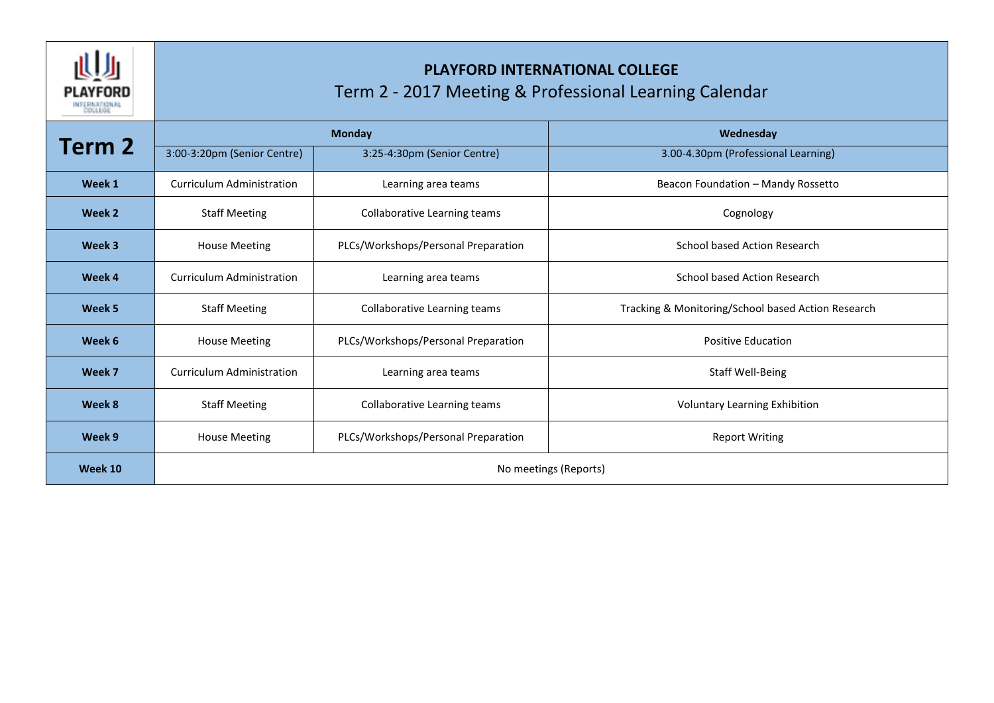

## **PLAYFORD INTERNATIONAL COLLEGE** Term 2 - 2017 Meeting & Professional Learning Calendar

| Term 2  | <b>Monday</b>                    |                                     | Wednesday                                          |  |
|---------|----------------------------------|-------------------------------------|----------------------------------------------------|--|
|         | 3:00-3:20pm (Senior Centre)      | 3:25-4:30pm (Senior Centre)         | 3.00-4.30pm (Professional Learning)                |  |
| Week 1  | <b>Curriculum Administration</b> | Learning area teams                 | Beacon Foundation - Mandy Rossetto                 |  |
| Week 2  | <b>Staff Meeting</b>             | Collaborative Learning teams        | Cognology                                          |  |
| Week 3  | <b>House Meeting</b>             | PLCs/Workshops/Personal Preparation | School based Action Research                       |  |
| Week 4  | <b>Curriculum Administration</b> | Learning area teams                 | <b>School based Action Research</b>                |  |
| Week 5  | <b>Staff Meeting</b>             | Collaborative Learning teams        | Tracking & Monitoring/School based Action Research |  |
| Week 6  | <b>House Meeting</b>             | PLCs/Workshops/Personal Preparation | <b>Positive Education</b>                          |  |
| Week 7  | Curriculum Administration        | Learning area teams                 | <b>Staff Well-Being</b>                            |  |
| Week 8  | <b>Staff Meeting</b>             | Collaborative Learning teams        | <b>Voluntary Learning Exhibition</b>               |  |
| Week 9  | <b>House Meeting</b>             | PLCs/Workshops/Personal Preparation | <b>Report Writing</b>                              |  |
| Week 10 | No meetings (Reports)            |                                     |                                                    |  |